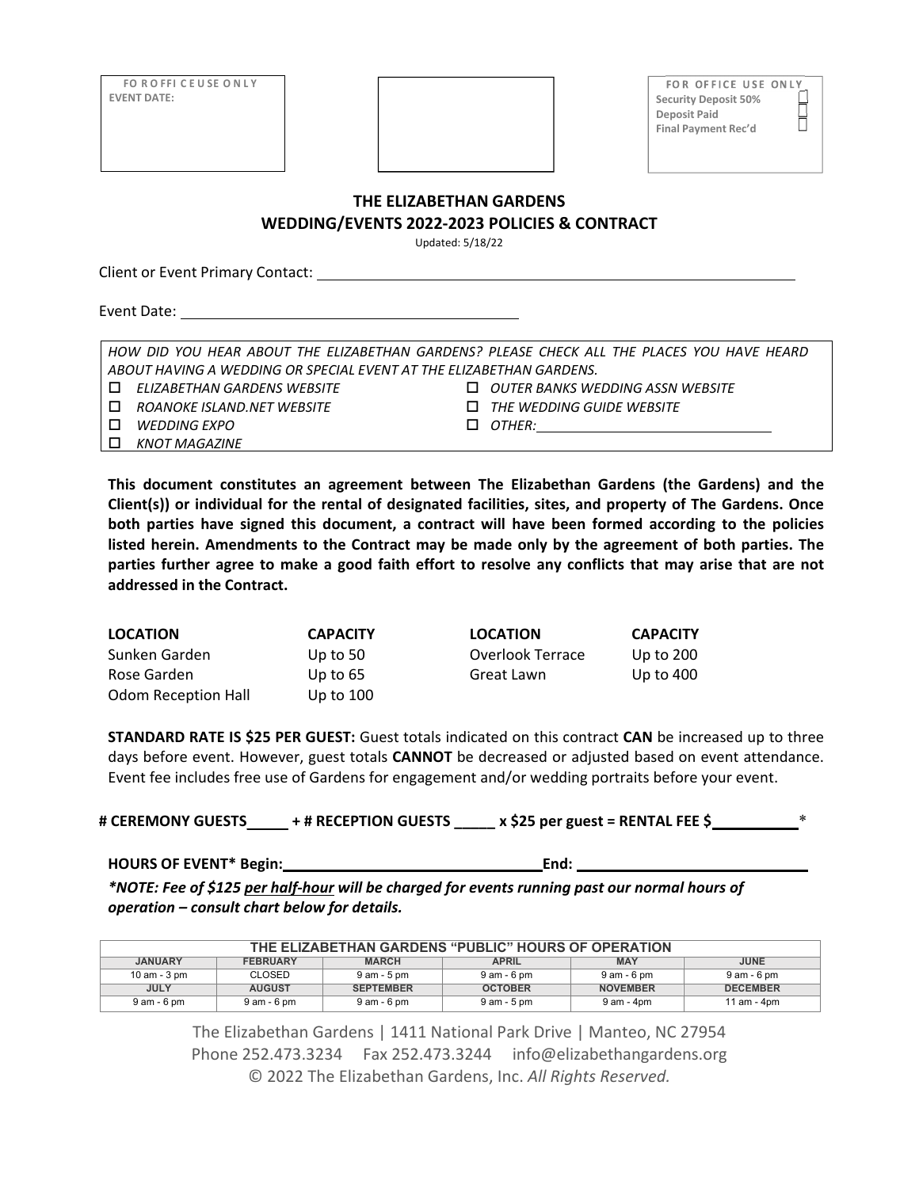| <b>FOROFFICEUSE ONLY</b> |  | <b>FOR OFFICE USI</b>       |
|--------------------------|--|-----------------------------|
| <b>EVENT DATE:</b>       |  | <b>Security Deposit 50%</b> |
|                          |  | Deposit Paid                |
|                          |  | <b>Final Payment Rec'd</b>  |
|                          |  |                             |

USE ONLY

Ŏ

### **THE ELIZABETHAN GARDENS**

**WEDDING/EVENTS 2022‐2023 POLICIES & CONTRACT**

Updated: 5/18/22

Client or Event Primary Contact:

Event Date:

*HOW DID YOU HEAR ABOUT THE ELIZABETHAN GARDENS? PLEASE CHECK ALL THE PLACES YOU HAVE HEARD ABOUT HAVING A WEDDING OR SPECIAL EVENT AT THE ELIZABETHAN GARDENS. ELIZABETHAN GARDENS WEBSITE OUTER BANKS WEDDING ASSN WEBSITE*

*WEDDING EXPO OTHER:*

*KNOT MAGAZINE*

*ROANOKE ISLAND.NET WEBSITE THE WEDDING GUIDE WEBSITE*

**This document constitutes an agreement between The Elizabethan Gardens (the Gardens) and the Client(s)) or individual for the rental of designated facilities, sites, and property of The Gardens. Once both parties have signed this document, a contract will have been formed according to the policies listed herein. Amendments to the Contract may be made only by the agreement of both parties. The** parties further agree to make a good faith effort to resolve any conflicts that may arise that are not **addressed in the Contract.**

| <b>LOCATION</b>            | <b>CAPACITY</b> | <b>LOCATION</b>  | <b>CAPACITY</b> |
|----------------------------|-----------------|------------------|-----------------|
| Sunken Garden              | Up to $50$      | Overlook Terrace | Up to 200       |
| Rose Garden                | Up to $65$      | Great Lawn       | Up to 400       |
| <b>Odom Reception Hall</b> | Up to $100$     |                  |                 |

**STANDARD RATE IS \$25 PER GUEST:** Guest totals indicated on this contract **CAN** be increased up to three days before event. However, guest totals **CANNOT** be decreased or adjusted based on event attendance. Event fee includes free use of Gardens for engagement and/or wedding portraits before your event.

**# CEREMONY GUESTS\_\_\_\_\_ + # RECEPTION GUESTS \_\_\_\_\_ x \$25 per guest = RENTAL FEE \$** \_\_\_\_\_\_\_\_\_\_\*

**HOURS OF EVENT\* Begin: End:**

\*NOTE: Fee of \$125 per half-hour will be charged for events running past our normal hours of *operation – consult chart below for details.*

| THE ELIZABETHAN GARDENS "PUBLIC" HOURS OF OPERATION |                 |                  |                |                 |                 |
|-----------------------------------------------------|-----------------|------------------|----------------|-----------------|-----------------|
| <b>JANUARY</b>                                      | <b>FEBRUARY</b> | <b>MARCH</b>     | <b>APRIL</b>   | <b>MAY</b>      | <b>JUNE</b>     |
| 10 am - 3 pm                                        | <b>CLOSED</b>   | 9 am - 5 pm      | 9 am - 6 pm    | 9 am - 6 pm     | 9 am - 6 pm     |
| <b>JULY</b>                                         | <b>AUGUST</b>   | <b>SEPTEMBER</b> | <b>OCTOBER</b> | <b>NOVEMBER</b> | <b>DECEMBER</b> |
| 9 am - 6 pm                                         | 9 am - 6 pm     | $9$ am - $6$ pm  | 9 am - 5 pm    | 9 am - 4pm      | 11 am - 4pm     |

The Elizabethan Gardens | 1411 National Park Drive | Manteo, NC 27954 Phone 252.473.3234 Fax 252.473.3244 info@elizabethangardens.org © 2022 The Elizabethan Gardens, Inc. *All Rights Reserved.*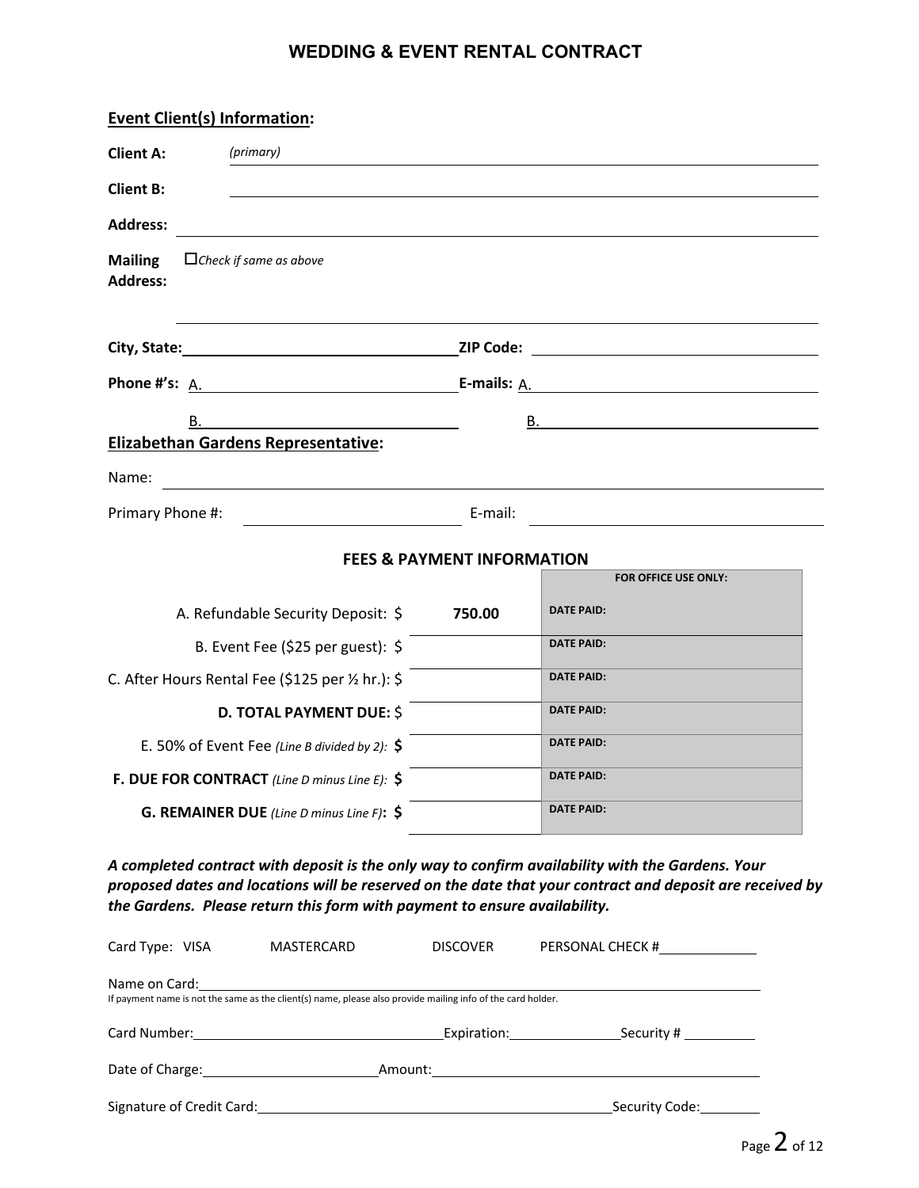| <b>Event Client(s) Information:</b>                                                                                                                                                                                                                                                       |                                       |                                                                                  |  |
|-------------------------------------------------------------------------------------------------------------------------------------------------------------------------------------------------------------------------------------------------------------------------------------------|---------------------------------------|----------------------------------------------------------------------------------|--|
| <b>Client A:</b><br>(primary)                                                                                                                                                                                                                                                             |                                       |                                                                                  |  |
| <b>Client B:</b>                                                                                                                                                                                                                                                                          |                                       |                                                                                  |  |
| <b>Address:</b>                                                                                                                                                                                                                                                                           |                                       | ,我们也不会有什么。""我们的人,我们也不会有什么?""我们的人,我们也不会有什么?""我们的人,我们也不会有什么?""我们的人,我们也不会有什么?""我们的人 |  |
| <b>Mailing</b><br>$\Box$ Check if same as above<br><b>Address:</b>                                                                                                                                                                                                                        |                                       |                                                                                  |  |
| City, State: 1990 1991 21P Code: 21P Code: 21P Code: 21P Code: 21P Code: 21P Code: 21P Code: 21P Code: 21P Code: 21P Code: 21P Code: 21P Code: 21P Code: 21P Code: 21P Code: 21P Code: 21P Code: 21P Code: 21P Code: 21P Code:                                                            |                                       |                                                                                  |  |
| Phone #'s: $A.$ E-mails: $A.$                                                                                                                                                                                                                                                             |                                       |                                                                                  |  |
| В.                                                                                                                                                                                                                                                                                        |                                       |                                                                                  |  |
| <b>Elizabethan Gardens Representative:</b>                                                                                                                                                                                                                                                |                                       |                                                                                  |  |
| Name:<br><u> 1989 - Johann Stoff, deutscher Stoff, der Stoff, der Stoff, der Stoff, der Stoff, der Stoff, der Stoff, der S</u>                                                                                                                                                            |                                       |                                                                                  |  |
| Primary Phone #:<br>E-mail:                                                                                                                                                                                                                                                               |                                       | <u> 1980 - Andrea Stadt Britain, amerikansk politik (</u>                        |  |
|                                                                                                                                                                                                                                                                                           | <b>FEES &amp; PAYMENT INFORMATION</b> |                                                                                  |  |
|                                                                                                                                                                                                                                                                                           |                                       | FOR OFFICE USE ONLY:                                                             |  |
| A. Refundable Security Deposit: \$                                                                                                                                                                                                                                                        | 750.00                                | <b>DATE PAID:</b>                                                                |  |
| B. Event Fee (\$25 per guest): \$                                                                                                                                                                                                                                                         |                                       | <b>DATE PAID:</b>                                                                |  |
| C. After Hours Rental Fee (\$125 per 1/2 hr.): \$                                                                                                                                                                                                                                         |                                       | <b>DATE PAID:</b>                                                                |  |
| <b>D. TOTAL PAYMENT DUE: \$</b>                                                                                                                                                                                                                                                           |                                       | <b>DATE PAID:</b>                                                                |  |
| E. 50% of Event Fee (Line B divided by 2): $\oint$                                                                                                                                                                                                                                        |                                       | <b>DATE PAID:</b>                                                                |  |
| F. DUE FOR CONTRACT (Line D minus Line E): \$                                                                                                                                                                                                                                             |                                       | <b>DATE PAID:</b>                                                                |  |
| <b>G. REMAINER DUE</b> (Line D minus Line F): $\oint$                                                                                                                                                                                                                                     |                                       | <b>DATE PAID:</b>                                                                |  |
| A completed contract with deposit is the only way to confirm availability with the Gardens. Your<br>proposed dates and locations will be reserved on the date that your contract and deposit are received by<br>the Gardens. Please return this form with payment to ensure availability. |                                       |                                                                                  |  |

| Card Type: VISA                                                                                                                                                                                                                | MASTERCARD                                                                                                                                 | <b>DISCOVER</b>                                                                                                 | PERSONAL CHECK #                         |
|--------------------------------------------------------------------------------------------------------------------------------------------------------------------------------------------------------------------------------|--------------------------------------------------------------------------------------------------------------------------------------------|-----------------------------------------------------------------------------------------------------------------|------------------------------------------|
|                                                                                                                                                                                                                                | Name on Card: Name on Card:<br>If payment name is not the same as the client(s) name, please also provide mailing info of the card holder. |                                                                                                                 |                                          |
|                                                                                                                                                                                                                                | Card Number: 2008 2010 2020 2020 2020 2021 2021 2022 2021 2022 2021 2022 2022 2022 2022 2022 2022 20                                       | Expiration: Expiration of the state of the state of the state of the state of the state of the state of the sta | $\frac{1}{2}$ Security # _______________ |
| Date of Charge: the contract of Charge in the contract of Charge in the contract of the contract of the contract of the contract of the contract of the contract of the contract of the contract of the contract of the contra |                                                                                                                                            |                                                                                                                 |                                          |
|                                                                                                                                                                                                                                | Signature of Credit Card: Manual According to the Credit Card: Manual According to the Credit Card:                                        |                                                                                                                 | Security Code:                           |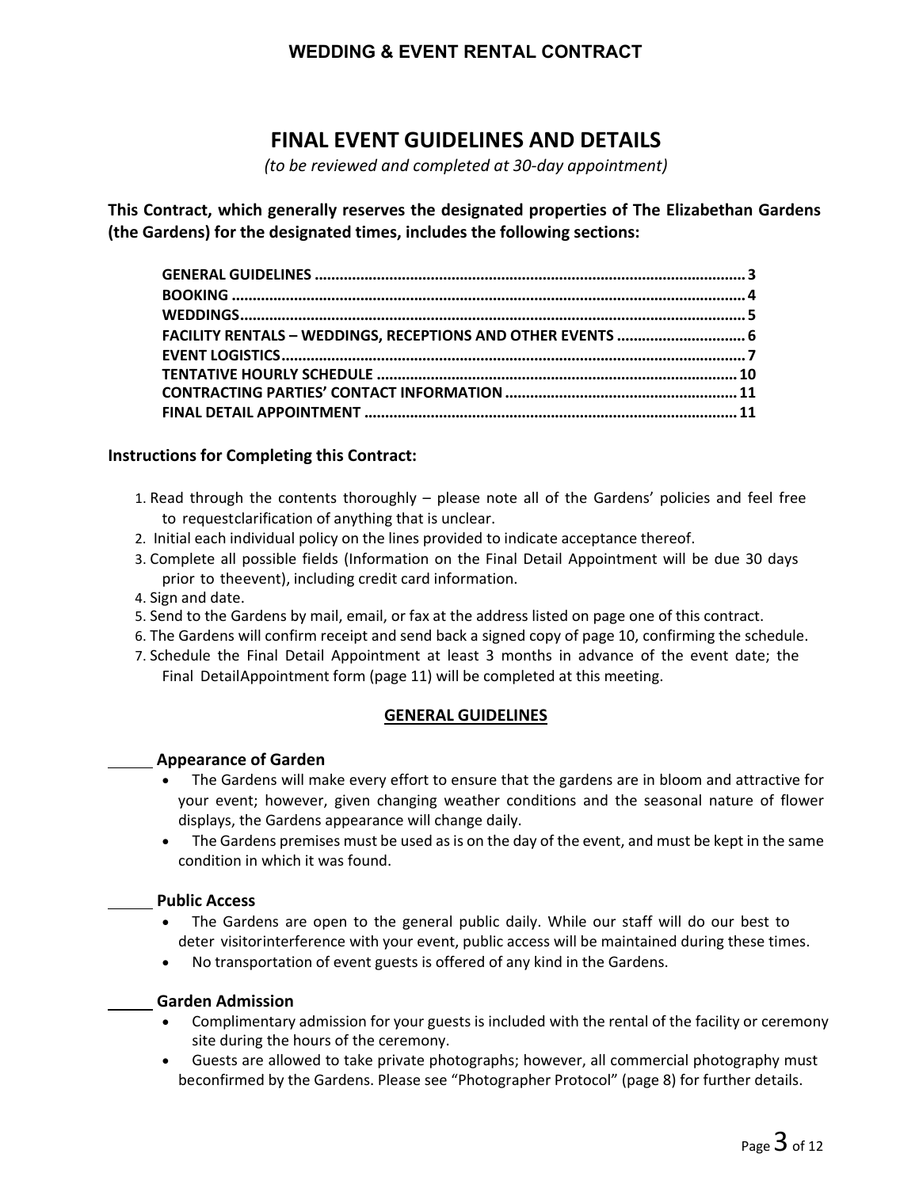# **FINAL EVENT GUIDELINES AND DETAILS**

*(to be reviewed and completed at 30‐day appointment)*

**This Contract, which generally reserves the designated properties of The Elizabethan Gardens (the Gardens) for the designated times, includes the following sections:**

| FACILITY RENTALS - WEDDINGS, RECEPTIONS AND OTHER EVENTS  6 |  |
|-------------------------------------------------------------|--|
|                                                             |  |
|                                                             |  |
|                                                             |  |
|                                                             |  |
|                                                             |  |

### **Instructions for Completing this Contract:**

- 1. Read through the contents thoroughly please note all of the Gardens' policies and feel free to requestclarification of anything that is unclear.
- 2. Initial each individual policy on the lines provided to indicate acceptance thereof.
- 3. Complete all possible fields (Information on the Final Detail Appointment will be due 30 days prior to theevent), including credit card information.
- 4. Sign and date.
- 5. Send to the Gardens by mail, email, or fax at the address listed on page one of this contract.
- 6. The Gardens will confirm receipt and send back a signed copy of page 10, confirming the schedule.
- 7. Schedule the Final Detail Appointment at least 3 months in advance of the event date; the Final DetailAppointment form (page 11) will be completed at this meeting.

#### **GENERAL GUIDELINES**

#### **Appearance of Garden**

- The Gardens will make every effort to ensure that the gardens are in bloom and attractive for your event; however, given changing weather conditions and the seasonal nature of flower displays, the Gardens appearance will change daily.
- The Gardens premises must be used as is on the day of the event, and must be kept in the same condition in which it was found.

#### **Public Access**

- The Gardens are open to the general public daily. While our staff will do our best to deter visitorinterference with your event, public access will be maintained during these times.
- No transportation of event guests is offered of any kind in the Gardens.

#### **Garden Admission**

- Complimentary admission for your guests is included with the rental of the facility or ceremony site during the hours of the ceremony.
- Guests are allowed to take private photographs; however, all commercial photography must beconfirmed by the Gardens. Please see "Photographer Protocol" (page 8) for further details.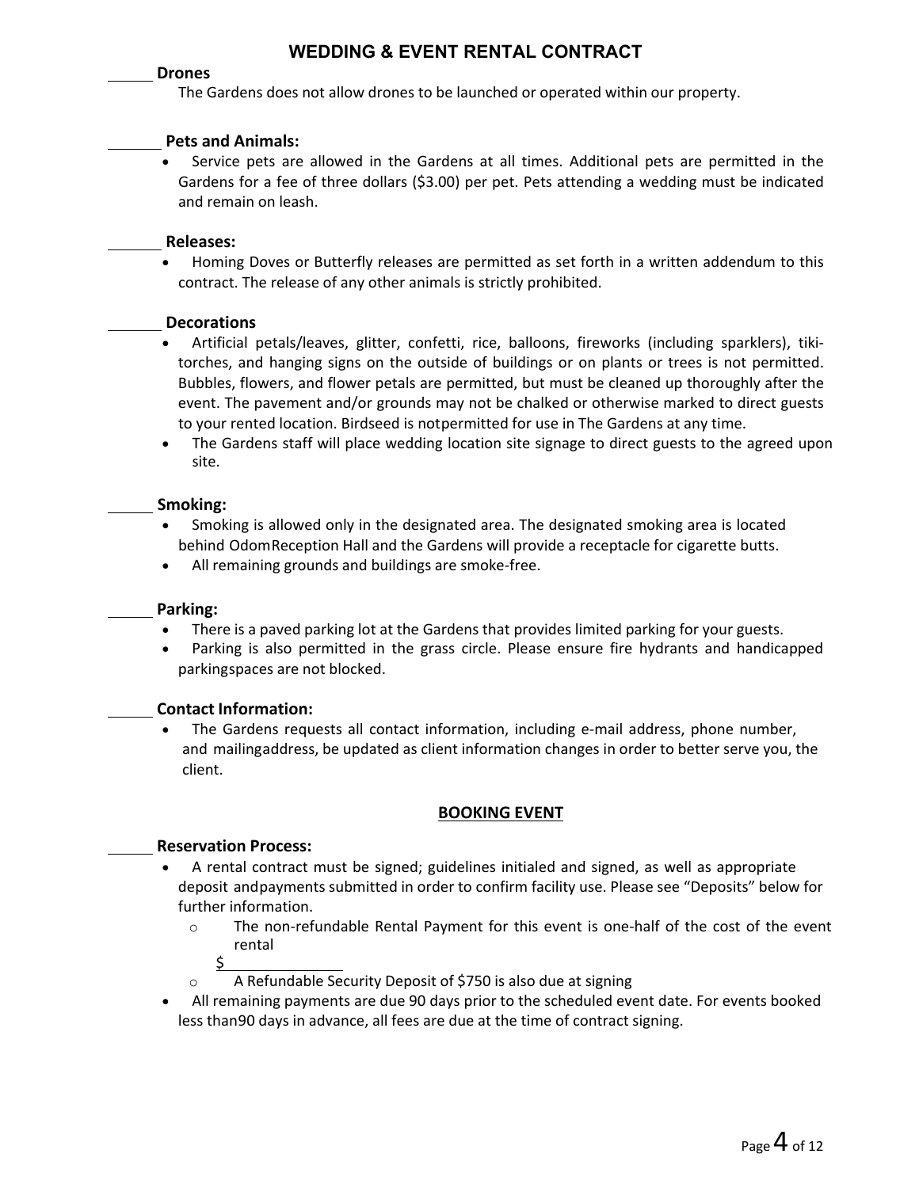#### **Drones**

The Gardens does not allow drones to be launched or operated within our property.

#### **Pets and Animals:**

 Service pets are allowed in the Gardens at all times. Additional pets are permitted in the Gardens for a fee of three dollars (\$3.00) per pet. Pets attending a wedding must be indicated and remain on leash.

#### **Releases:**

 Homing Doves or Butterfly releases are permitted as set forth in a written addendum to this contract. The release of any other animals is strictly prohibited.

#### **Decorations**

- Artificial petals/leaves, glitter, confetti, rice, balloons, fireworks (including sparklers), tiki‐ torches, and hanging signs on the outside of buildings or on plants or trees is not permitted. Bubbles, flowers, and flower petals are permitted, but must be cleaned up thoroughly after the event. The pavement and/or grounds may not be chalked or otherwise marked to direct guests to your rented location. Birdseed is notpermitted for use in The Gardens at any time.
- The Gardens staff will place wedding location site signage to direct guests to the agreed upon site.

### **Smoking:**

- Smoking is allowed only in the designated area. The designated smoking area is located behind OdomReception Hall and the Gardens will provide a receptacle for cigarette butts.
- All remaining grounds and buildings are smoke‐free.

#### **Parking:**

- There is a paved parking lot at the Gardens that provides limited parking for your guests.
- Parking is also permitted in the grass circle. Please ensure fire hydrants and handicapped parkingspaces are not blocked.

#### **Contact Information:**

 The Gardens requests all contact information, including e‐mail address, phone number, and mailingaddress, be updated as client information changes in order to better serve you, the client.

### **BOOKING EVENT**

#### **Reservation Process:**

- A rental contract must be signed; guidelines initialed and signed, as well as appropriate deposit andpayments submitted in order to confirm facility use. Please see "Deposits" below for further information.
	- o The non‐refundable Rental Payment for this event is one‐half of the cost of the event rental
		- \$
	- o A Refundable Security Deposit of \$750 is also due at signing
- All remaining payments are due 90 days prior to the scheduled event date. For events booked less than90 days in advance, all fees are due at the time of contract signing.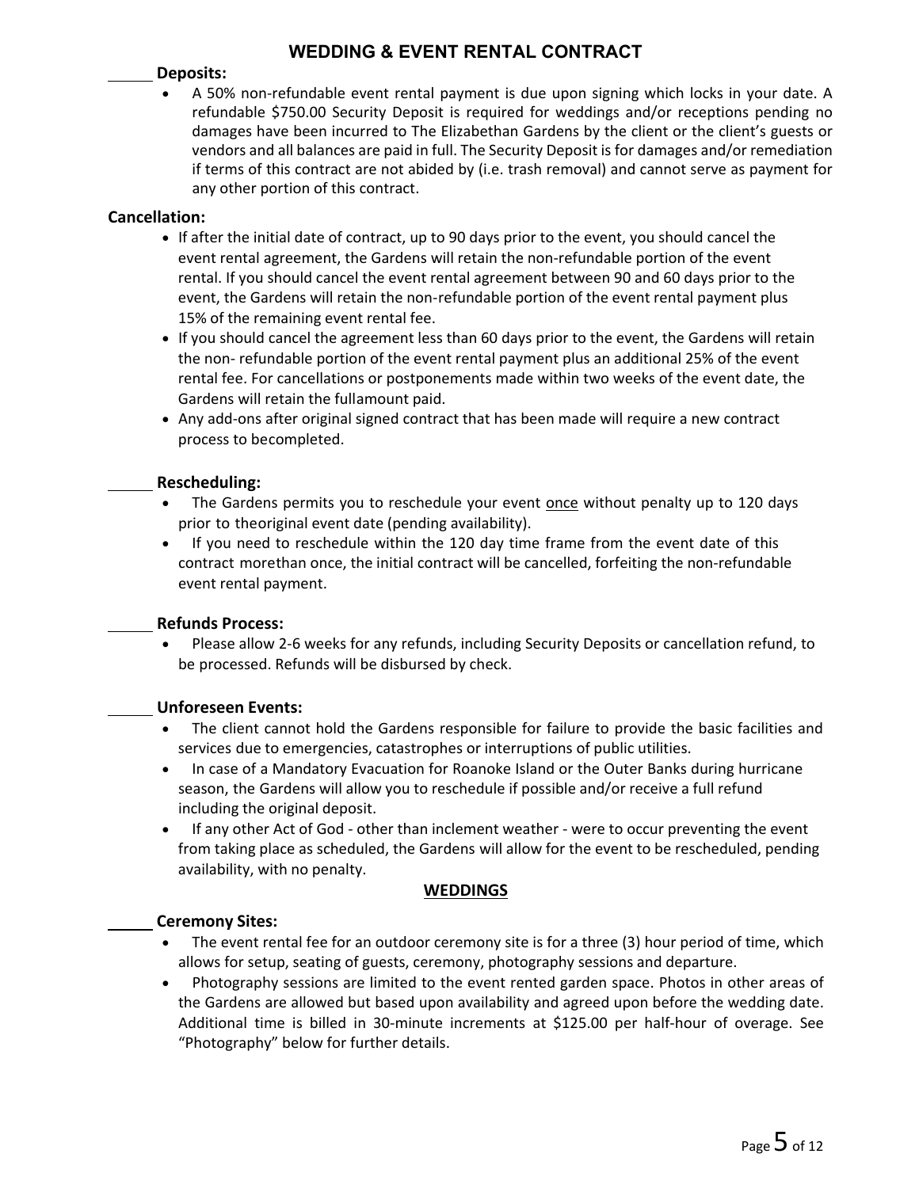#### **Deposits:**

 A 50% non‐refundable event rental payment is due upon signing which locks in your date. A refundable \$750.00 Security Deposit is required for weddings and/or receptions pending no damages have been incurred to The Elizabethan Gardens by the client or the client's guests or vendors and all balances are paid in full. The Security Deposit is for damages and/or remediation if terms of this contract are not abided by (i.e. trash removal) and cannot serve as payment for any other portion of this contract.

### **Cancellation:**

- If after the initial date of contract, up to 90 days prior to the event, you should cancel the event rental agreement, the Gardens will retain the non-refundable portion of the event rental. If you should cancel the event rental agreement between 90 and 60 days prior to the event, the Gardens will retain the non-refundable portion of the event rental payment plus 15% of the remaining event rental fee.
- If you should cancel the agreement less than 60 days prior to the event, the Gardens will retain the non‐ refundable portion of the event rental payment plus an additional 25% of the event rental fee. For cancellations or postponements made within two weeks of the event date, the Gardens will retain the fullamount paid.
- Any add-ons after original signed contract that has been made will require a new contract process to becompleted.

#### **Rescheduling:**

- The Gardens permits you to reschedule your event once without penalty up to 120 days prior to theoriginal event date (pending availability).
- If you need to reschedule within the 120 day time frame from the event date of this contract morethan once, the initial contract will be cancelled, forfeiting the non-refundable event rental payment.

#### **Refunds Process:**

 Please allow 2‐6 weeks for any refunds, including Security Deposits or cancellation refund, to be processed. Refunds will be disbursed by check.

#### **Unforeseen Events:**

- The client cannot hold the Gardens responsible for failure to provide the basic facilities and services due to emergencies, catastrophes or interruptions of public utilities.
- In case of a Mandatory Evacuation for Roanoke Island or the Outer Banks during hurricane season, the Gardens will allow you to reschedule if possible and/or receive a full refund including the original deposit.
- If any other Act of God other than inclement weather were to occur preventing the event from taking place as scheduled, the Gardens will allow for the event to be rescheduled, pending availability, with no penalty.

#### **WEDDINGS**

#### **Ceremony Sites:**

- The event rental fee for an outdoor ceremony site is for a three (3) hour period of time, which allows for setup, seating of guests, ceremony, photography sessions and departure.
- Photography sessions are limited to the event rented garden space. Photos in other areas of the Gardens are allowed but based upon availability and agreed upon before the wedding date. Additional time is billed in 30‐minute increments at \$125.00 per half‐hour of overage. See "Photography" below for further details.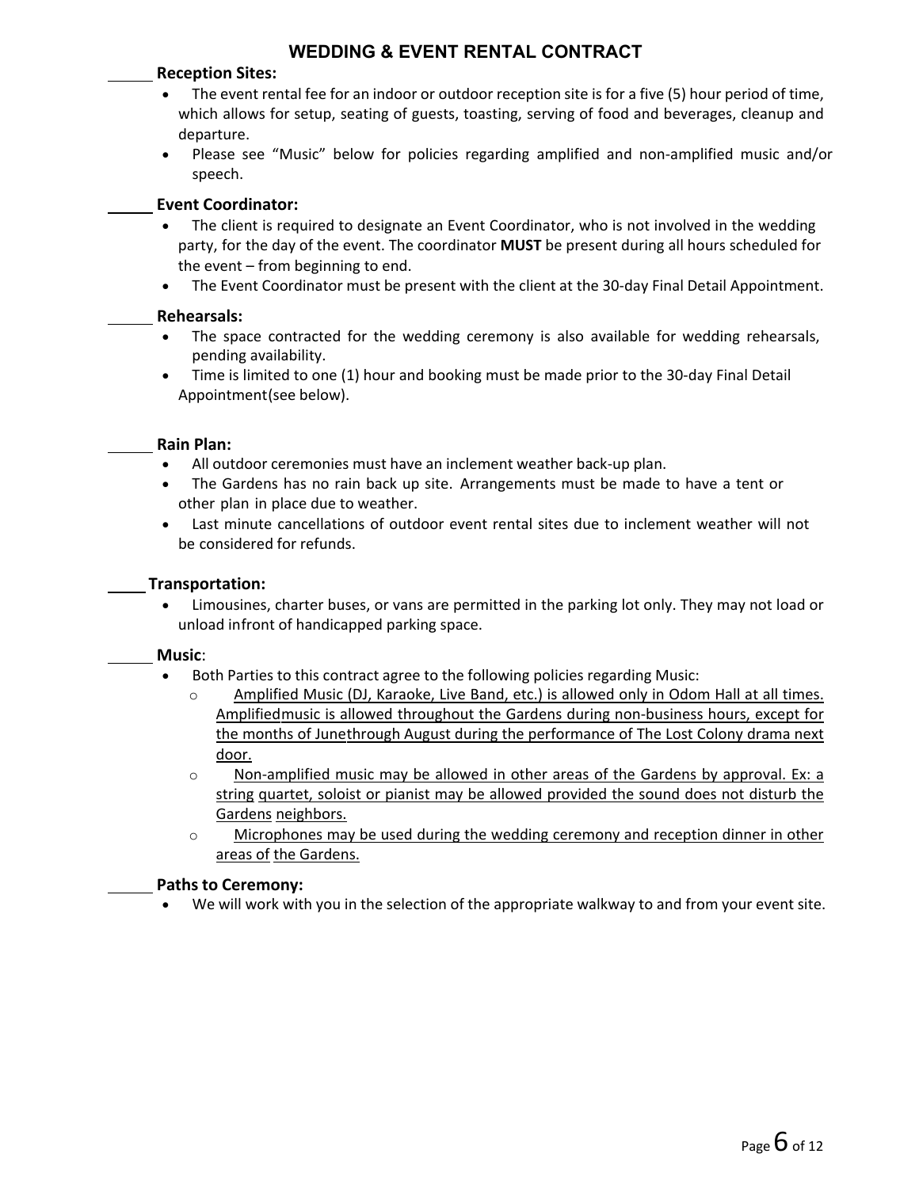### **Reception Sites:**

- The event rental fee for an indoor or outdoor reception site is for a five (5) hour period of time, which allows for setup, seating of guests, toasting, serving of food and beverages, cleanup and departure.
- Please see "Music" below for policies regarding amplified and non-amplified music and/or speech.

### **Event Coordinator:**

- The client is required to designate an Event Coordinator, who is not involved in the wedding party, for the day of the event. The coordinator **MUST** be present during all hours scheduled for the event – from beginning to end.
- The Event Coordinator must be present with the client at the 30‐day Final Detail Appointment.

#### **Rehearsals:**

- The space contracted for the wedding ceremony is also available for wedding rehearsals, pending availability.
- Time is limited to one (1) hour and booking must be made prior to the 30‐day Final Detail Appointment(see below).

#### **Rain Plan:**

- All outdoor ceremonies must have an inclement weather back‐up plan.
- The Gardens has no rain back up site. Arrangements must be made to have a tent or other plan in place due to weather.
- Last minute cancellations of outdoor event rental sites due to inclement weather will not be considered for refunds.

#### **Transportation:**

 Limousines, charter buses, or vans are permitted in the parking lot only. They may not load or unload infront of handicapped parking space.

#### **Music**:

- Both Parties to this contract agree to the following policies regarding Music:
	- o Amplified Music (DJ, Karaoke, Live Band, etc.) is allowed only in Odom Hall at all times. Amplifiedmusic is allowed throughout the Gardens during non‐business hours, except for the months of Junethrough August during the performance of The Lost Colony drama next door.
	- o Non‐amplified music may be allowed in other areas of the Gardens by approval. Ex: a string quartet, soloist or pianist may be allowed provided the sound does not disturb the Gardens neighbors.
	- o Microphones may be used during the wedding ceremony and reception dinner in other areas of the Gardens.

#### **Paths to Ceremony:**

We will work with you in the selection of the appropriate walkway to and from your event site.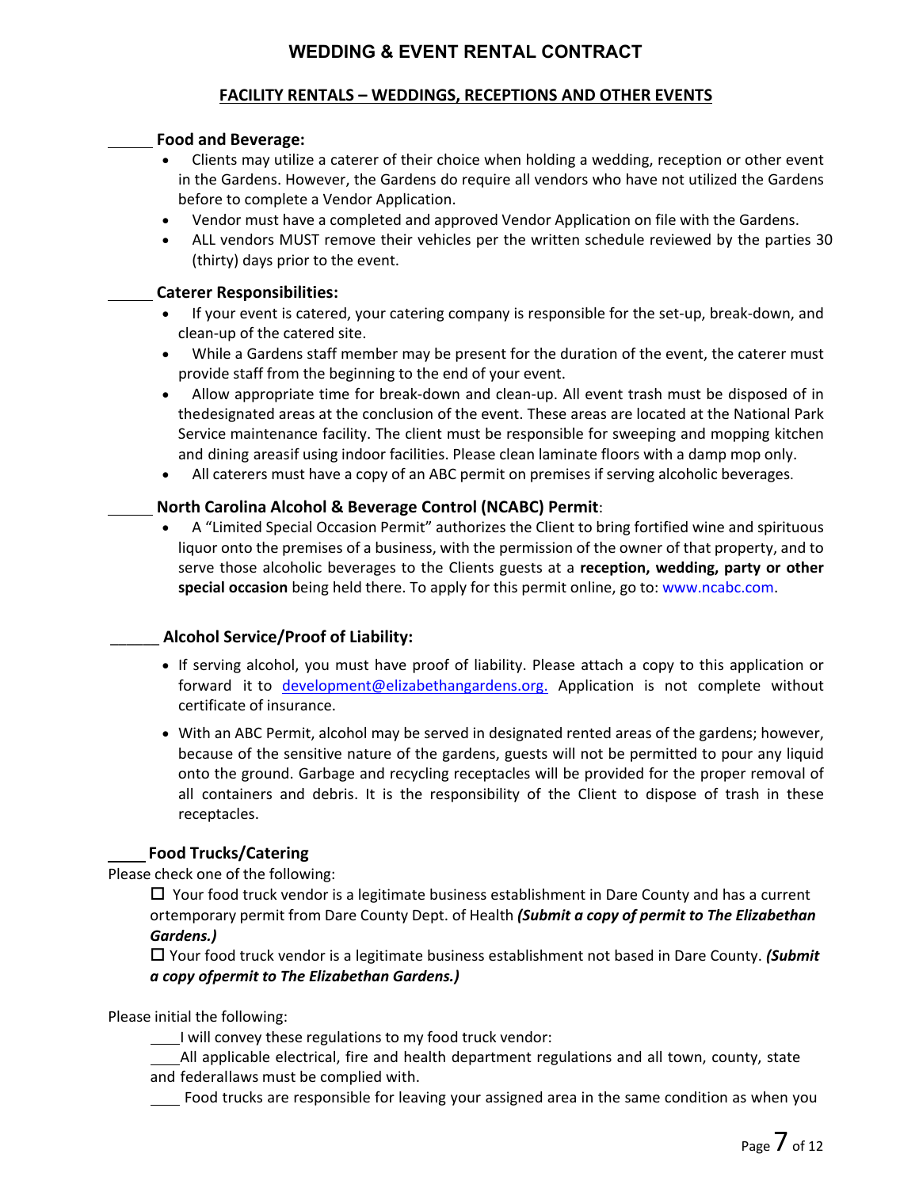### **FACILITY RENTALS – WEDDINGS, RECEPTIONS AND OTHER EVENTS**

#### **Food and Beverage:**

- Clients may utilize a caterer of their choice when holding a wedding, reception or other event in the Gardens. However, the Gardens do require all vendors who have not utilized the Gardens before to complete a Vendor Application.
- Vendor must have a completed and approved Vendor Application on file with the Gardens.
- ALL vendors MUST remove their vehicles per the written schedule reviewed by the parties 30 (thirty) days prior to the event.

#### **Caterer Responsibilities:**

- If your event is catered, your catering company is responsible for the set-up, break-down, and clean‐up of the catered site.
- While a Gardens staff member may be present for the duration of the event, the caterer must provide staff from the beginning to the end of your event.
- Allow appropriate time for break‐down and clean‐up. All event trash must be disposed of in thedesignated areas at the conclusion of the event. These areas are located at the National Park Service maintenance facility. The client must be responsible for sweeping and mopping kitchen and dining areasif using indoor facilities. Please clean laminate floors with a damp mop only.
- All caterers must have a copy of an ABC permit on premises if serving alcoholic beverages.

### **North Carolina Alcohol & Beverage Control (NCABC) Permit**:

 A "Limited Special Occasion Permit" authorizes the Client to bring fortified wine and spirituous liquor onto the premises of a business, with the permission of the owner of that property, and to serve those alcoholic beverages to the Clients guests at a **reception, wedding, party or other special occasion** being held there. To apply for this permit online, go to: www.ncabc.com.

### \_\_\_\_\_\_ **Alcohol Service/Proof of Liability:**

- If serving alcohol, you must have proof of liability. Please attach a copy to this application or forward it to development@elizabethangardens.org. Application is not complete without certificate of insurance.
- With an ABC Permit, alcohol may be served in designated rented areas of the gardens; however, because of the sensitive nature of the gardens, guests will not be permitted to pour any liquid onto the ground. Garbage and recycling receptacles will be provided for the proper removal of all containers and debris. It is the responsibility of the Client to dispose of trash in these receptacles.

### **Food Trucks/Catering**

Please check one of the following:

 $\Box$  Your food truck vendor is a legitimate business establishment in Dare County and has a current ortemporary permit from Dare County Dept. of Health *(Submit a copy of permit to The Elizabethan Gardens.)*

 Your food truck vendor is a legitimate business establishment not based in Dare County. *(Submit a copy ofpermit to The Elizabethan Gardens.)*

Please initial the following:

I will convey these regulations to my food truck vendor:

All applicable electrical, fire and health department regulations and all town, county, state and federallaws must be complied with.

Food trucks are responsible for leaving your assigned area in the same condition as when you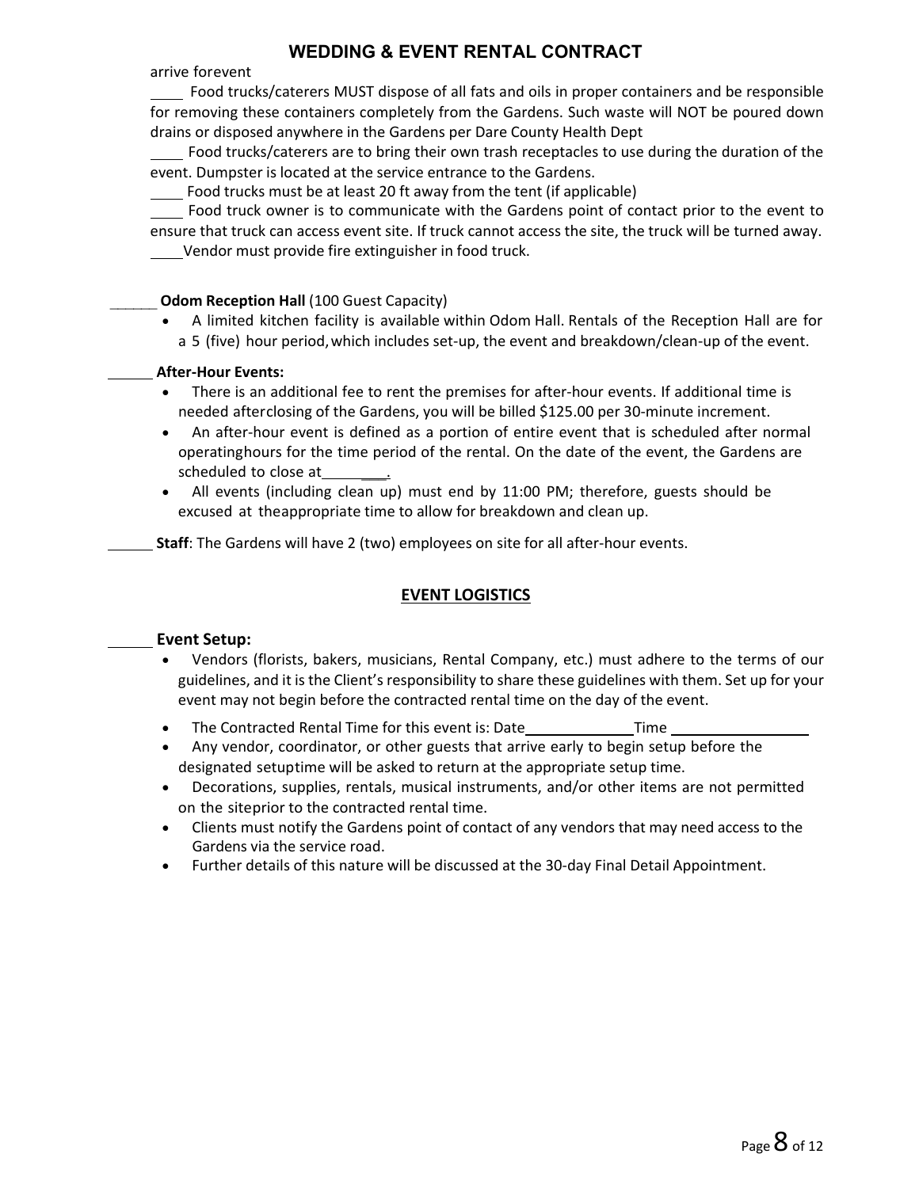arrive forevent

 Food trucks/caterers MUST dispose of all fats and oils in proper containers and be responsible for removing these containers completely from the Gardens. Such waste will NOT be poured down drains or disposed anywhere in the Gardens per Dare County Health Dept

 Food trucks/caterers are to bring their own trash receptacles to use during the duration of the event. Dumpster is located at the service entrance to the Gardens.

Food trucks must be at least 20 ft away from the tent (if applicable)

 Food truck owner is to communicate with the Gardens point of contact prior to the event to ensure that truck can access event site. If truck cannot access the site, the truck will be turned away.

Vendor must provide fire extinguisher in food truck.

### \_\_\_\_\_\_ **Odom Reception Hall** (100 Guest Capacity)

 A limited kitchen facility is available within Odom Hall. Rentals of the Reception Hall are for a 5 (five) hour period, which includes set‐up, the event and breakdown/clean‐up of the event.

### **After‐Hour Events:**

- There is an additional fee to rent the premises for after-hour events. If additional time is needed afterclosing of the Gardens, you will be billed \$125.00 per 30‐minute increment.
- An after‐hour event is defined as a portion of entire event that is scheduled after normal operatinghours for the time period of the rental. On the date of the event, the Gardens are scheduled to close at
- All events (including clean up) must end by 11:00 PM; therefore, guests should be excused at theappropriate time to allow for breakdown and clean up.

**Staff**: The Gardens will have 2 (two) employees on site for all after-hour events.

### **EVENT LOGISTICS**

### **Event Setup:**

- Vendors (florists, bakers, musicians, Rental Company, etc.) must adhere to the terms of our guidelines, and it is the Client's responsibility to share these guidelines with them. Set up for your event may not begin before the contracted rental time on the day of the event.
- The Contracted Rental Time for this event is: Date Time Time
- Any vendor, coordinator, or other guests that arrive early to begin setup before the designated setuptime will be asked to return at the appropriate setup time.
- Decorations, supplies, rentals, musical instruments, and/or other items are not permitted on the siteprior to the contracted rental time.
- Clients must notify the Gardens point of contact of any vendors that may need access to the Gardens via the service road.
- Further details of this nature will be discussed at the 30‐day Final Detail Appointment.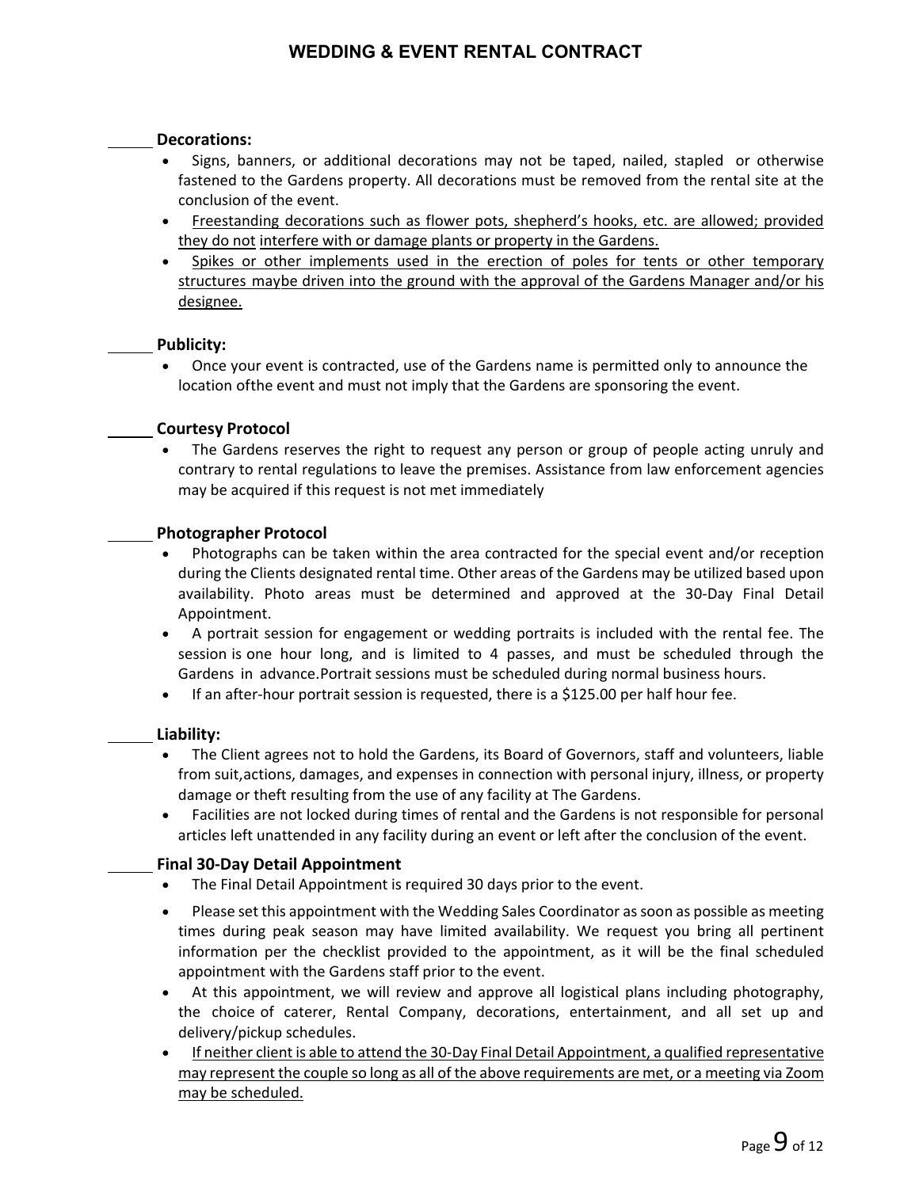#### **Decorations:**

- Signs, banners, or additional decorations may not be taped, nailed, stapled or otherwise fastened to the Gardens property. All decorations must be removed from the rental site at the conclusion of the event.
- Freestanding decorations such as flower pots, shepherd's hooks, etc. are allowed; provided they do not interfere with or damage plants or property in the Gardens.
- Spikes or other implements used in the erection of poles for tents or other temporary structures maybe driven into the ground with the approval of the Gardens Manager and/or his designee.

#### **Publicity:**

 Once your event is contracted, use of the Gardens name is permitted only to announce the location ofthe event and must not imply that the Gardens are sponsoring the event.

#### **Courtesy Protocol**

 The Gardens reserves the right to request any person or group of people acting unruly and contrary to rental regulations to leave the premises. Assistance from law enforcement agencies may be acquired if this request is not met immediately

#### **Photographer Protocol**

- Photographs can be taken within the area contracted for the special event and/or reception during the Clients designated rental time. Other areas of the Gardens may be utilized based upon availability. Photo areas must be determined and approved at the 30‐Day Final Detail Appointment.
- A portrait session for engagement or wedding portraits is included with the rental fee. The session is one hour long, and is limited to 4 passes, and must be scheduled through the Gardens in advance.Portrait sessions must be scheduled during normal business hours.
- If an after-hour portrait session is requested, there is a \$125.00 per half hour fee.

#### **Liability:**

- The Client agrees not to hold the Gardens, its Board of Governors, staff and volunteers, liable from suit,actions, damages, and expenses in connection with personal injury, illness, or property damage or theft resulting from the use of any facility at The Gardens.
- Facilities are not locked during times of rental and the Gardens is not responsible for personal articles left unattended in any facility during an event or left after the conclusion of the event.

#### **Final 30‐Day Detail Appointment**

- The Final Detail Appointment is required 30 days prior to the event.
- Please set this appointment with the Wedding Sales Coordinator as soon as possible as meeting times during peak season may have limited availability. We request you bring all pertinent information per the checklist provided to the appointment, as it will be the final scheduled appointment with the Gardens staff prior to the event.
- At this appointment, we will review and approve all logistical plans including photography, the choice of caterer, Rental Company, decorations, entertainment, and all set up and delivery/pickup schedules.
- If neither client is able to attend the 30‐Day Final Detail Appointment, a qualified representative may represent the couple so long as all of the above requirements are met, or a meeting via Zoom may be scheduled.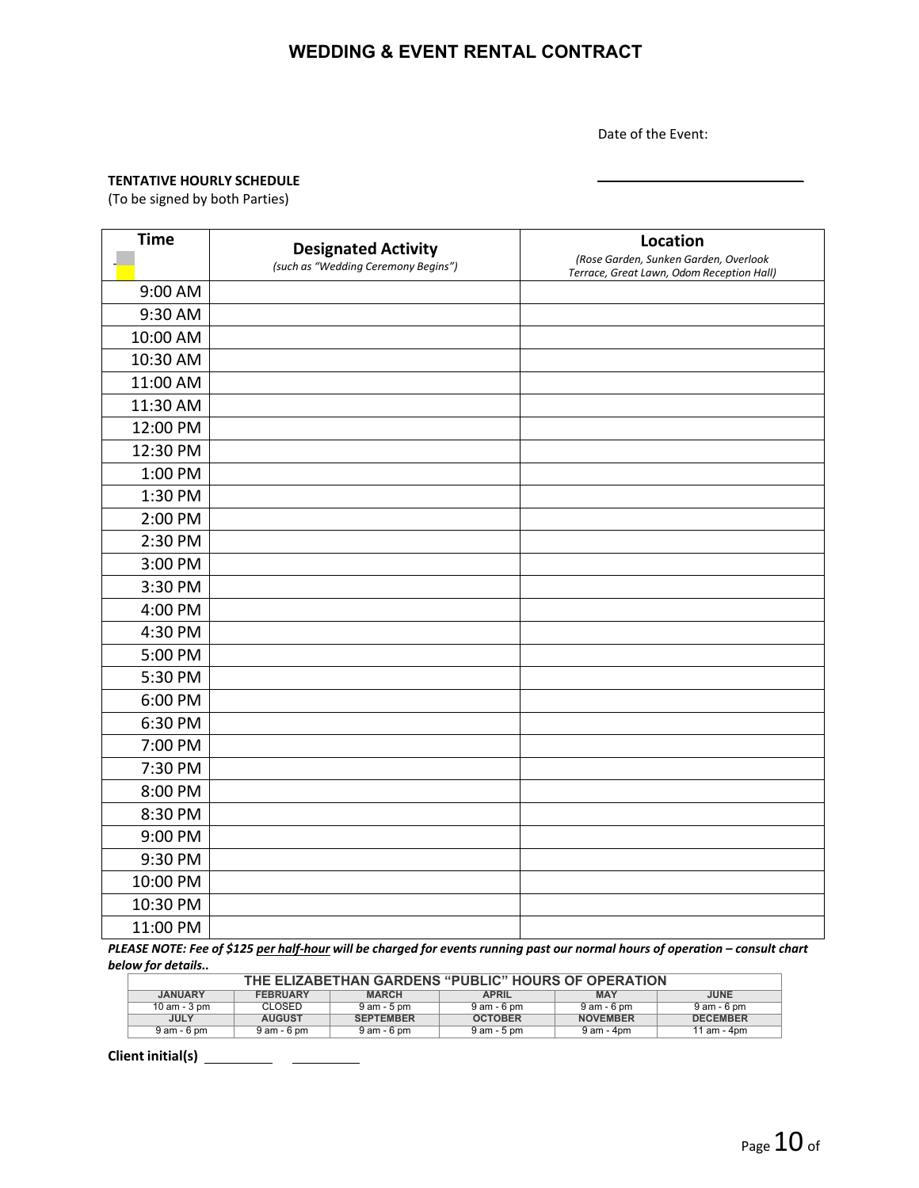Date of the Event:

#### **TENTATIVE HOURLY SCHEDULE**

(To be signed by both Parties)

| <b>Time</b> | <b>Designated Activity</b><br>(such as "Wedding Ceremony Begins") | Location<br>(Rose Garden, Sunken Garden, Overlook<br>Terrace, Great Lawn, Odom Reception Hall) |
|-------------|-------------------------------------------------------------------|------------------------------------------------------------------------------------------------|
| 9:00 AM     |                                                                   |                                                                                                |
| 9:30 AM     |                                                                   |                                                                                                |
| 10:00 AM    |                                                                   |                                                                                                |
| 10:30 AM    |                                                                   |                                                                                                |
| 11:00 AM    |                                                                   |                                                                                                |
| 11:30 AM    |                                                                   |                                                                                                |
| 12:00 PM    |                                                                   |                                                                                                |
| 12:30 PM    |                                                                   |                                                                                                |
| 1:00 PM     |                                                                   |                                                                                                |
| 1:30 PM     |                                                                   |                                                                                                |
| 2:00 PM     |                                                                   |                                                                                                |
| 2:30 PM     |                                                                   |                                                                                                |
| 3:00 PM     |                                                                   |                                                                                                |
| 3:30 PM     |                                                                   |                                                                                                |
| 4:00 PM     |                                                                   |                                                                                                |
| 4:30 PM     |                                                                   |                                                                                                |
| 5:00 PM     |                                                                   |                                                                                                |
| 5:30 PM     |                                                                   |                                                                                                |
| 6:00 PM     |                                                                   |                                                                                                |
| 6:30 PM     |                                                                   |                                                                                                |
| 7:00 PM     |                                                                   |                                                                                                |
| 7:30 PM     |                                                                   |                                                                                                |
| 8:00 PM     |                                                                   |                                                                                                |
| 8:30 PM     |                                                                   |                                                                                                |
| 9:00 PM     |                                                                   |                                                                                                |
| 9:30 PM     |                                                                   |                                                                                                |
| 10:00 PM    |                                                                   |                                                                                                |
| 10:30 PM    |                                                                   |                                                                                                |
| 11:00 PM    |                                                                   |                                                                                                |

PLEASE NOTE: Fee of \$125 per half-hour will be charged for events running past our normal hours of operation - consult chart *below for details..*

| THE ELIZABETHAN GARDENS "PUBLIC" HOURS OF OPERATION                                     |                 |                  |                |                 |                 |
|-----------------------------------------------------------------------------------------|-----------------|------------------|----------------|-----------------|-----------------|
| <b>JANUARY</b><br><b>MAY</b><br><b>FEBRUARY</b><br><b>APRIL</b><br>JUNE<br><b>MARCH</b> |                 |                  |                |                 |                 |
| 10 am - $3 \text{ pm}$                                                                  | CLOSED          | 9 am - 5 pm      | 9 am - 6 pm    | 9 am - 6 pm     | 9 am - 6 pm     |
| <b>JULY</b>                                                                             | <b>AUGUST</b>   | <b>SEPTEMBER</b> | <b>OCTOBER</b> | <b>NOVEMBER</b> | <b>DECEMBER</b> |
| 9 am - 6 pm                                                                             | $9$ am - $6$ pm | $9$ am - 6 pm    | 9 am - 5 pm    | 9 am - 4pm      | 11 am - 4pm     |

**Client initial(s)**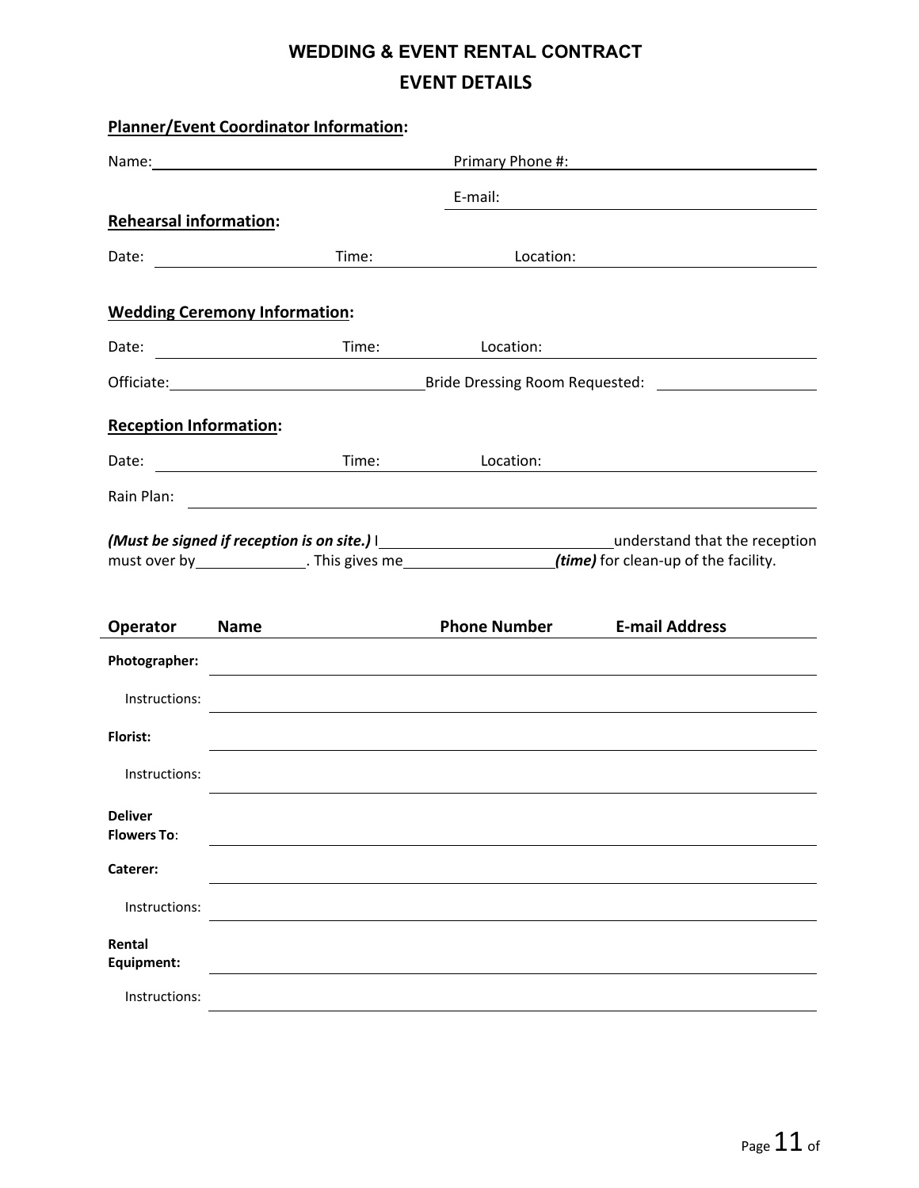# **WEDDING & EVENT RENTAL CONTRACT EVENT DETAILS**

|                                      | <b>Planner/Event Coordinator Information:</b> |       |                     |                                                                                                         |
|--------------------------------------|-----------------------------------------------|-------|---------------------|---------------------------------------------------------------------------------------------------------|
|                                      | Primary Phone #: New York Primary Phone #:    |       |                     |                                                                                                         |
|                                      |                                               |       | E-mail:             |                                                                                                         |
| <b>Rehearsal information:</b>        |                                               |       |                     |                                                                                                         |
|                                      |                                               | Time: | Location:           |                                                                                                         |
|                                      | <b>Wedding Ceremony Information:</b>          |       |                     |                                                                                                         |
| Date:                                |                                               |       | Location:           |                                                                                                         |
|                                      |                                               |       |                     |                                                                                                         |
| <b>Reception Information:</b>        |                                               |       |                     |                                                                                                         |
| Date:                                | <u> 1989 - Johann Barbara, martin basa</u>    | Time: | Location:           |                                                                                                         |
|                                      |                                               |       |                     |                                                                                                         |
|                                      |                                               |       |                     |                                                                                                         |
|                                      |                                               |       |                     | must over by _______________. This gives me________________________(time) for clean-up of the facility. |
| <b>Operator</b>                      | <b>Name</b>                                   |       | <b>Phone Number</b> | <b>E-mail Address</b>                                                                                   |
| Photographer:                        |                                               |       |                     |                                                                                                         |
| Instructions:                        |                                               |       |                     | 的,我们也不会有什么。""我们的人,我们也不会有什么?""我们的人,我们也不会有什么?""我们的人,我们也不会有什么?""我们的人,我们也不会有什么?""我们的                        |
| <b>Florist:</b>                      |                                               |       |                     |                                                                                                         |
| Instructions:                        |                                               |       |                     |                                                                                                         |
| <b>Deliver</b><br><b>Flowers To:</b> |                                               |       |                     |                                                                                                         |
| Caterer:                             |                                               |       |                     |                                                                                                         |
| Instructions:                        |                                               |       |                     |                                                                                                         |
| Rental<br>Equipment:                 |                                               |       |                     |                                                                                                         |
| Instructions:                        |                                               |       |                     |                                                                                                         |

 $\overline{a}$